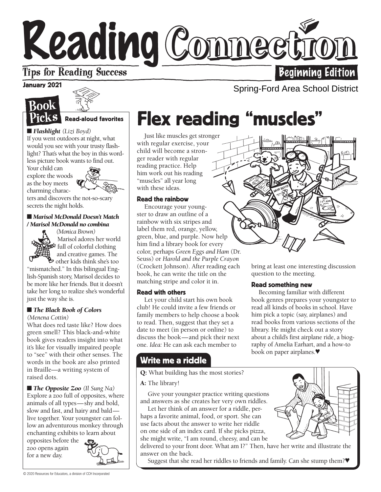# Reading Connee **Beginning Edition**

## **Tips for Reading Success**

#### January 2021





#### Read-aloud favorites

■ *Flashlight* (Lizi Boyd) If you went outdoors at night, what would you see with your trusty flashlight? That's what the boy in this wordless picture book wants to find out.

Your child can explore the woods as the boy meets charming charac-



ters and discovers the not-so-scary secrets the night holds.

#### ■ *Marisol McDonald Doesn't Match / Marisol McDonald no combina*

*(Monica Brown)*  Marisol adores her world  $\mathbb{R}^5$  full of colorful clothing and creative games. The other kids think she's too

"mismatched." In this bilingual English-Spanish story, Marisol decides to be more like her friends. But it doesn't take her long to realize she's wonderful just the way she is.

#### ■ *The Black Book of Colors*

*(Menena Cottin)*

What does red taste like? How does green smell? This black-and-white book gives readers insight into what it's like for visually impaired people to "see" with their other senses. The words in the book are also printed in Braille—a writing system of raised dots.

■ *The Opposite Zoo* (*Il Sung Na*) Explore a zoo full of opposites, where animals of all types—shy and bold, slow and fast, and hairy and bald live together. Your youngster can follow an adventurous monkey through enchanting exhibits to learn about

opposites before the zoo opens again for a new day.



## Flex reading "muscles"

Just like muscles get stronger with regular exercise, your child will become a stronger reader with regular reading practice. Help him work out his reading "muscles" all year long with these ideas.

#### Read the rainbow

Encourage your youngster to draw an outline of a rainbow with six stripes and label them red, orange, yellow, green, blue, and purple. Now help him find a library book for every color, perhaps *Green Eggs and Ham* (Dr. Seuss) or *Harold and the Purple Crayon* (Crockett Johnson). After reading each book, he can write the title on the matching stripe and color it in.

#### Read with others

Let your child start his own book club! He could invite a few friends or family members to help choose a book to read. Then, suggest that they set a date to meet (in person or online) to discuss the book—and pick their next one. *Idea:* He can ask each member to

### Write me a riddle

Q: What building has the most stories?

#### A: The library!

Give your youngster practice writing questions and answers as she creates her very own riddles.

Let her think of an answer for a riddle, perhaps a favorite animal, food, or sport. She can use facts about the answer to write her riddle on one side of an index card. If she picks pizza, she might write, "I am round, cheesy, and can be

delivered to your front door. What am I?" Then, have her write and illustrate the answer on the back.

Suggest that she read her riddles to friends and family. Can she stump them?♥



Spring-Ford Area School District

bring at least one interesting discussion question to the meeting.

#### Read something new

Becoming familiar with different book genres prepares your youngster to read all kinds of books in school. Have him pick a topic (say, airplanes) and read books from various sections of the library. He might check out a story about a child's first airplane ride, a biography of Amelia Earhart, and a how-to book on paper airplanes.♥